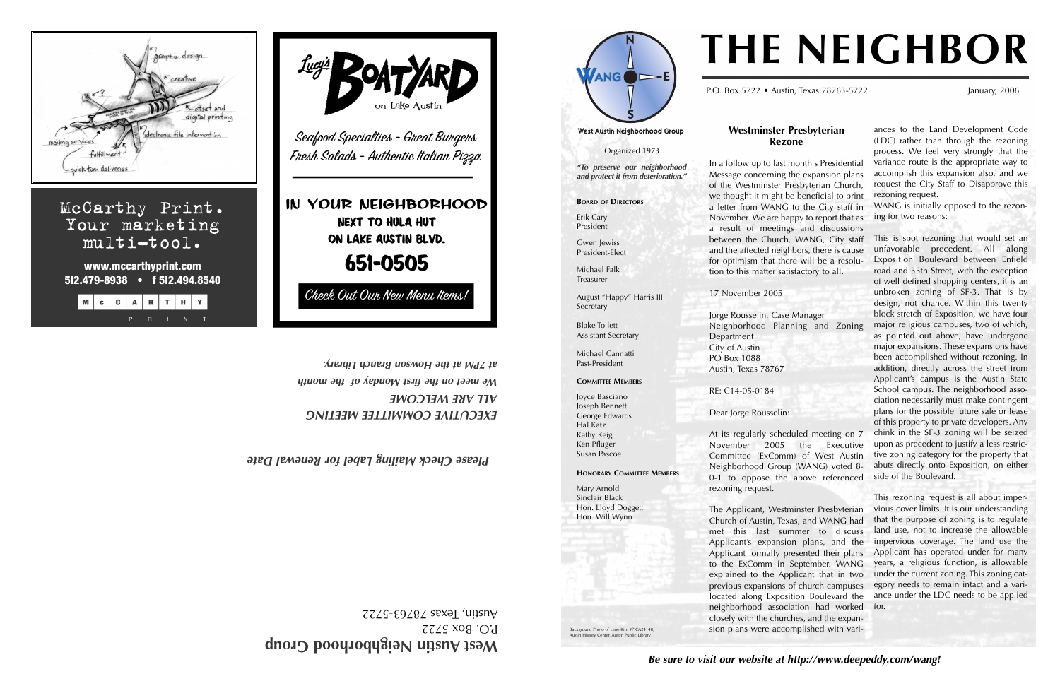*Be sure to visit our website at http://www.deepeddy.com/wang!*

## **Westminster Presbyterian**

**Rezone** In a follow up to last month's Presidential Message concerning the expansion plans of the Westminster Presbyterian Church, we thought it might be beneficial to print a letter from WANG to the City staff in November. We are happy to report that as a result of meetings and discussions between the Church, WANG, City staff and the affected neighbors, there is cause for optimism that there will be a resolution to this matter satisfactory to all.

West Austin Neighborhood Group

17 November 2005

Jorge Rousselin, Case Manager Neighborhood Planning and Zoning

Department City of Austin PO Box 1088

Austin, Texas 78767

RE: C14-05-0184

#### Dear Jorge Rousselin:

At its regularly scheduled meeting on 7 November 2005 the Executive Committee (ExComm) of West Austin Neighborhood Group (WANG) voted 8- 0-1 to oppose the above referenced

rezoning request.

The Applicant, Westminster Presbyterian Church of Austin, Texas, and WANG had met this last summer to discuss Applicant's expansion plans, and the Applicant formally presented their plans to the ExComm in September. WANG explained to the Applicant that in two previous expansions of church campuses located along Exposition Boulevard the neighborhood association had worked for. closely with the churches, and the expansion plans were accomplished with vari-

ances to the Land Development Code (LDC) rather than through the rezoning process. We feel very strongly that the variance route is the appropriate way to accomplish this expansion also, and we request the City Staff to Disapprove this rezoning request.

West Austin Neighborhood Group P.O. Box 5722

 $ZZZS$ - $E9Z8Z$  sexal 'unsny

WANG is initially opposed to the rezoning for two reasons:

This is spot rezoning that would set an unfavorable precedent. All along Exposition Boulevard between Enfield road and 35th Street, with the exception of well defined shopping centers, it is an unbroken zoning of SF-3. That is by design, not chance. Within this twenty block stretch of Exposition, we have four major religious campuses, two of which, as pointed out above, have undergone major expansions. These expansions have been accomplished without rezoning. In addition, directly across the street from Applicant's campus is the Austin State School campus. The neighborhood association necessarily must make contingent plans for the possible future sale or lease of this property to private developers. Any chink in the SF-3 zoning will be seized upon as precedent to justify a less restrictive zoning category for the property that abuts directly onto Exposition, on either side of the Boulevard.

This rezoning request is all about impervious cover limits. It is our understanding that the purpose of zoning is to regulate land use, not to increase the allowable impervious coverage. The land use the Applicant has operated under for many years, a religious function, is allowable under the current zoning. This zoning category needs to remain intact and a variance under the LDC needs to be applied

# **THE NEIGHBOR**

P.O. Box 5722 • Austin, Texas 78763-5722 January, 2006

*EXECUTIVE COMMITTEE MEETING ALL ARE WELCOME We meet on the first Monday of the month at 7PM at the Howson Branch Library.*

aphic design  $ch (4 - 2)$ digital printing tronic file intervention mailing service quick furn deliveries McCarthy Print. Your marketing multi-tool. **www.mccarthyprint.com 5I2.479-8938 • f 5I2.494.8540** MCCARTHY



Organized 1973

 $ANG$   $\blacktriangleright$ E

*"To preserve our neighborhood and protect it from deterioration."*

**BOARD OF DIRECTORS**

Erik Cary



Susan Pascoe

**History Center, Austin Public Librar** 

**HONORARY COMMITTEE MEMBERS** Mary Arnold Sinclair Black Hon. Lloyd Doggett Hon. Will Wynn

*Mailing Label for Renewal Date k Please Chec*

Background Photo of Lime Kiln #PICA24140,